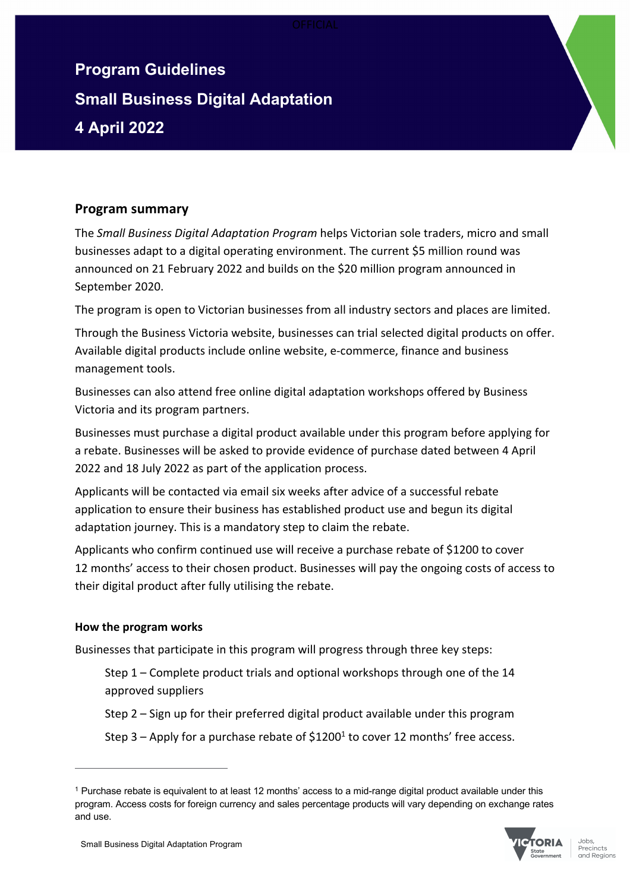# **Program Guidelines Small Business Digital Adaptation 4 April 2022**

# **Program summary**

The *Small Business Digital Adaptation Program* helps Victorian sole traders, micro and small businesses adapt to a digital operating environment. The current \$5 million round was announced on 21 February 2022 and builds on the \$20 million program announced in September 2020.

The program is open to Victorian businesses from all industry sectors and places are limited.

Through the Business Victoria website, businesses can trial selected digital products on offer. Available digital products include online website, e-commerce, finance and business management tools.

Businesses can also attend free online digital adaptation workshops offered by Business Victoria and its program partners.

Businesses must purchase a digital product available under this program before applying for a rebate. Businesses will be asked to provide evidence of purchase dated between 4 April 2022 and 18 July 2022 as part of the application process.

Applicants will be contacted via email six weeks after advice of a successful rebate application to ensure their business has established product use and begun its digital adaptation journey. This is a mandatory step to claim the rebate.

Applicants who confirm continued use will receive a purchase rebate of \$1200 to cover 12 months' access to their chosen product. Businesses will pay the ongoing costs of access to their digital product after fully utilising the rebate.

# **How the program works**

Businesses that participate in this program will progress through three key steps:

Step 1 – Complete product trials and optional workshops through one of the 14 approved suppliers

Step 2 – Sign up for their preferred digital product available under this program

Step 3 – Apply for a purchase rebate of  $$1200<sup>1</sup>$  to cover 12 months' free access.

<sup>1</sup> Purchase rebate is equivalent to at least 12 months' access to a mid-range digital product available under this program. Access costs for foreign currency and sales percentage products will vary depending on exchange rates and use.

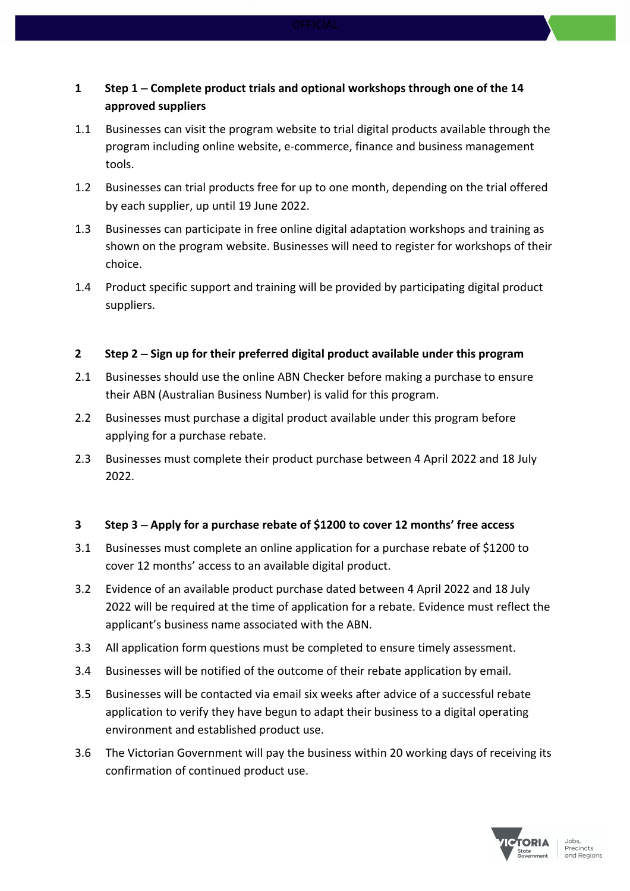# **1 Step 1** - **Complete product trials and optional workshops through one of the 14 approved suppliers**

- 1.1 Businesses can visit the program website to trial digital products available through the program including online website, e-commerce, finance and business management tools.
- 1.2 Businesses can trial products free for up to one month, depending on the trial offered by each supplier, up until 19 June 2022.
- 1.3 Businesses can participate in free online digital adaptation workshops and training as shown on the program website. Businesses will need to register for workshops of their choice.
- 1.4 Product specific support and training will be provided by participating digital product suppliers.

## **2 Step 2** - **Sign up for their preferred digital product available under this program**

- 2.1 Businesses should use the online ABN Checker before making a purchase to ensure their ABN (Australian Business Number) is valid for this program.
- 2.2 Businesses must purchase a digital product available under this program before applying for a purchase rebate.
- 2.3 Businesses must complete their product purchase between 4 April 2022 and 18 July 2022.

# **3 Step 3** - **Apply for a purchase rebate of \$1200 to cover 12 months' free access**

- 3.1 Businesses must complete an online application for a purchase rebate of \$1200 to cover 12 months' access to an available digital product.
- 3.2 Evidence of an available product purchase dated between 4 April 2022 and 18 July 2022 will be required at the time of application for a rebate. Evidence must reflect the applicant's business name associated with the ABN.
- 3.3 All application form questions must be completed to ensure timely assessment.
- 3.4 Businesses will be notified of the outcome of their rebate application by email.
- 3.5 Businesses will be contacted via email six weeks after advice of a successful rebate application to verify they have begun to adapt their business to a digital operating environment and established product use.
- 3.6 The Victorian Government will pay the business within 20 working days of receiving its confirmation of continued product use.

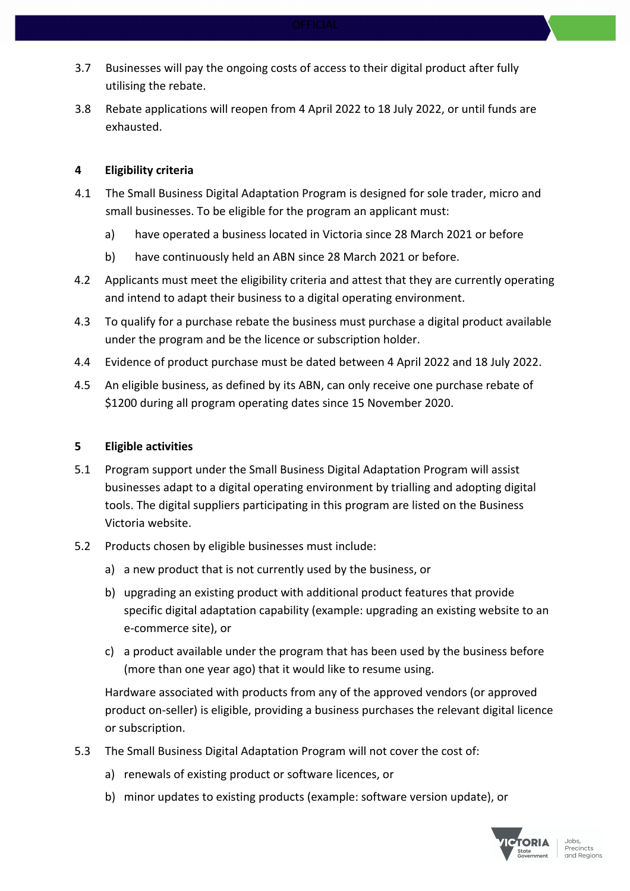- 3.7 Businesses will pay the ongoing costs of access to their digital product after fully utilising the rebate.
- 3.8 Rebate applications will reopen from 4 April 2022 to 18 July 2022, or until funds are exhausted.

### **4 Eligibility criteria**

- 4.1 The Small Business Digital Adaptation Program is designed for sole trader, micro and small businesses. To be eligible for the program an applicant must:
	- a) have operated a business located in Victoria since 28 March 2021 or before
	- b) have continuously held an ABN since 28 March 2021 or before.
- 4.2 Applicants must meet the eligibility criteria and attest that they are currently operating and intend to adapt their business to a digital operating environment.
- 4.3 To qualify for a purchase rebate the business must purchase a digital product available under the program and be the licence or subscription holder.
- 4.4 Evidence of product purchase must be dated between 4 April 2022 and 18 July 2022.
- 4.5 An eligible business, as defined by its ABN, can only receive one purchase rebate of \$1200 during all program operating dates since 15 November 2020.

#### **5 Eligible activities**

- 5.1 Program support under the Small Business Digital Adaptation Program will assist businesses adapt to a digital operating environment by trialling and adopting digital tools. The digital suppliers participating in this program are listed on the Business Victoria website.
- 5.2 Products chosen by eligible businesses must include:
	- a) a new product that is not currently used by the business, or
	- b) upgrading an existing product with additional product features that provide specific digital adaptation capability (example: upgrading an existing website to an e-commerce site), or
	- c) a product available under the program that has been used by the business before (more than one year ago) that it would like to resume using.

Hardware associated with products from any of the approved vendors (or approved product on-seller) is eligible, providing a business purchases the relevant digital licence or subscription.

- 5.3 The Small Business Digital Adaptation Program will not cover the cost of:
	- a) renewals of existing product or software licences, or
	- b) minor updates to existing products (example: software version update), or

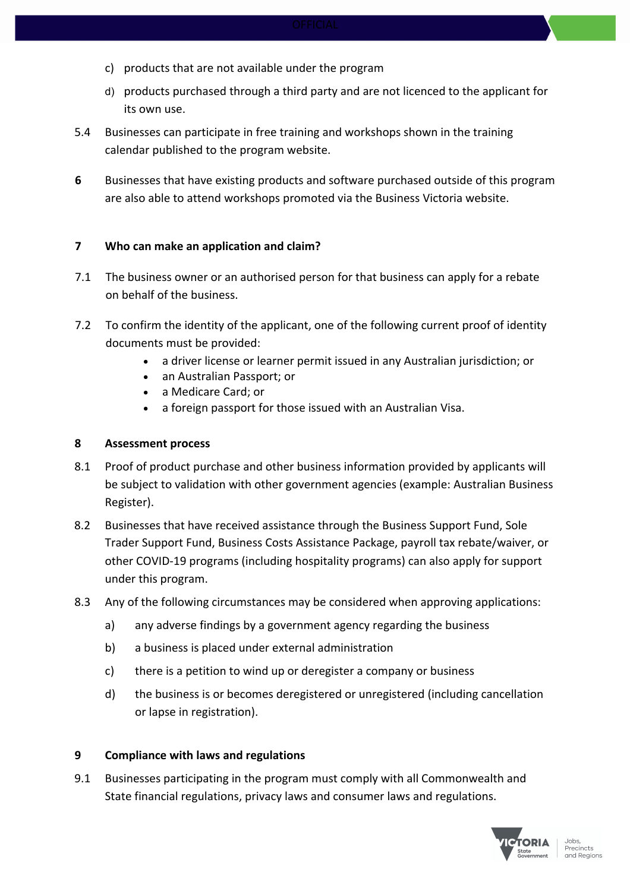- c) products that are not available under the program
- d) products purchased through a third party and are not licenced to the applicant for its own use.
- 5.4 Businesses can participate in free training and workshops shown in the training calendar published to the program website.
- **6** Businesses that have existing products and software purchased outside of this program are also able to attend workshops promoted via the Business Victoria website.

#### **7 Who can make an application and claim?**

- 7.1 The business owner or an authorised person for that business can apply for a rebate on behalf of the business.
- 7.2 To confirm the identity of the applicant, one of the following current proof of identity documents must be provided:
	- a driver license or learner permit issued in any Australian jurisdiction; or
	- an Australian Passport; or
	- a Medicare Card; or
	- a foreign passport for those issued with an Australian Visa.

#### **8 Assessment process**

- 8.1 Proof of product purchase and other business information provided by applicants will be subject to validation with other government agencies (example: Australian Business Register).
- 8.2 Businesses that have received assistance through the Business Support Fund, Sole Trader Support Fund, Business Costs Assistance Package, payroll tax rebate/waiver, or other COVID-19 programs (including hospitality programs) can also apply for support under this program.
- 8.3 Any of the following circumstances may be considered when approving applications:
	- a) any adverse findings by a government agency regarding the business
	- b) a business is placed under external administration
	- c) there is a petition to wind up or deregister a company or business
	- d) the business is or becomes deregistered or unregistered (including cancellation or lapse in registration).

#### **9 Compliance with laws and regulations**

9.1 Businesses participating in the program must comply with all Commonwealth and State financial regulations, privacy laws and consumer laws and regulations.

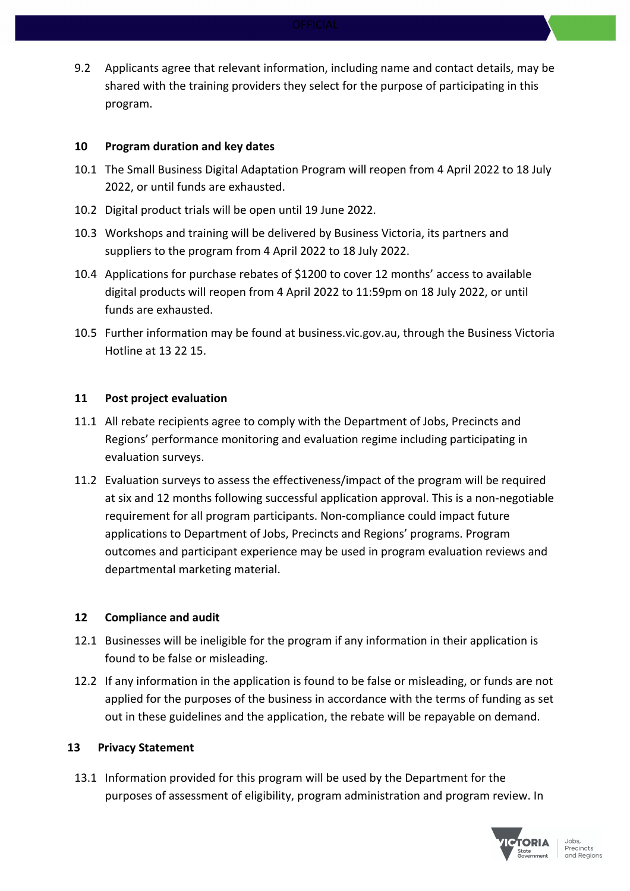9.2 Applicants agree that relevant information, including name and contact details, may be shared with the training providers they select for the purpose of participating in this program.

#### **10 Program duration and key dates**

- 10.1 The Small Business Digital Adaptation Program will reopen from 4 April 2022 to 18 July 2022, or until funds are exhausted.
- 10.2 Digital product trials will be open until 19 June 2022.
- 10.3 Workshops and training will be delivered by Business Victoria, its partners and suppliers to the program from 4 April 2022 to 18 July 2022.
- 10.4 Applications for purchase rebates of \$1200 to cover 12 months' access to available digital products will reopen from 4 April 2022 to 11:59pm on 18 July 2022, or until funds are exhausted.
- 10.5 Further information may be found at business.vic.gov.au, through the Business Victoria Hotline at 13 22 15.

#### **11 Post project evaluation**

- 11.1 All rebate recipients agree to comply with the Department of Jobs, Precincts and Regions' performance monitoring and evaluation regime including participating in evaluation surveys.
- 11.2 Evaluation surveys to assess the effectiveness/impact of the program will be required at six and 12 months following successful application approval. This is a non-negotiable requirement for all program participants. Non-compliance could impact future applications to Department of Jobs, Precincts and Regions' programs. Program outcomes and participant experience may be used in program evaluation reviews and departmental marketing material.

#### **12 Compliance and audit**

- 12.1 Businesses will be ineligible for the program if any information in their application is found to be false or misleading.
- 12.2 If any information in the application is found to be false or misleading, or funds are not applied for the purposes of the business in accordance with the terms of funding as set out in these guidelines and the application, the rebate will be repayable on demand.

#### **13 Privacy Statement**

13.1 Information provided for this program will be used by the Department for the purposes of assessment of eligibility, program administration and program review. In